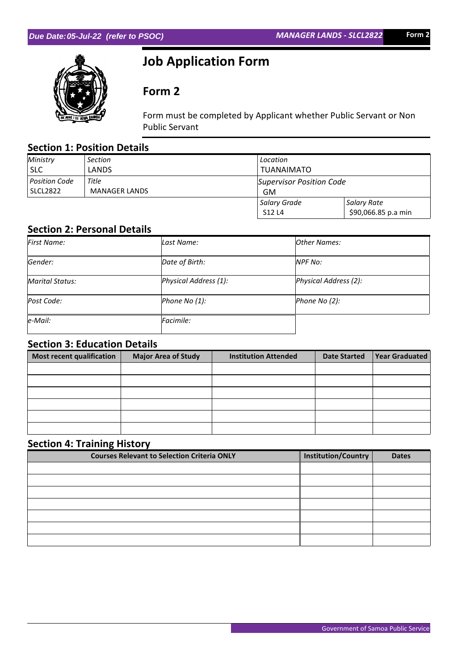

# **Job Application Form**

# **Form 2**

Form must be completed by Applicant whether Public Servant or Non Public Servant

## **Section 1: Position Details**

| Ministry        | Section              | Location                 |                     |  |
|-----------------|----------------------|--------------------------|---------------------|--|
| <b>SLC</b>      | LANDS                | <b>TUANAIMATO</b>        |                     |  |
| Position Code   | Title                | Supervisor Position Code |                     |  |
| <b>SLCL2822</b> | <b>MANAGER LANDS</b> | GM                       |                     |  |
|                 |                      | Salary Grade             | Salary Rate         |  |
|                 |                      | S12 L4                   | \$90,066.85 p.a min |  |

### **Section 2: Personal Details**

| First Name:     | Last Name:            | <b>Other Names:</b>   |
|-----------------|-----------------------|-----------------------|
| Gender:         | Date of Birth:        | <b>NPF No:</b>        |
| Marital Status: | Physical Address (1): | Physical Address (2): |
| Post Code:      | Phone No (1):         | Phone No (2):         |
| $e$ -Mail:      | Facimile:             |                       |

## **Section 3: Education Details**

| Most recent qualification | <b>Major Area of Study</b> | <b>Institution Attended</b> | <b>Date Started</b> | <b>Year Graduated</b> |
|---------------------------|----------------------------|-----------------------------|---------------------|-----------------------|
|                           |                            |                             |                     |                       |
|                           |                            |                             |                     |                       |
|                           |                            |                             |                     |                       |
|                           |                            |                             |                     |                       |
|                           |                            |                             |                     |                       |
|                           |                            |                             |                     |                       |

# **Section 4: Training History**

| <b>Courses Relevant to Selection Criteria ONLY</b> | Institution/Country | <b>Dates</b> |
|----------------------------------------------------|---------------------|--------------|
|                                                    |                     |              |
|                                                    |                     |              |
|                                                    |                     |              |
|                                                    |                     |              |
|                                                    |                     |              |
|                                                    |                     |              |
|                                                    |                     |              |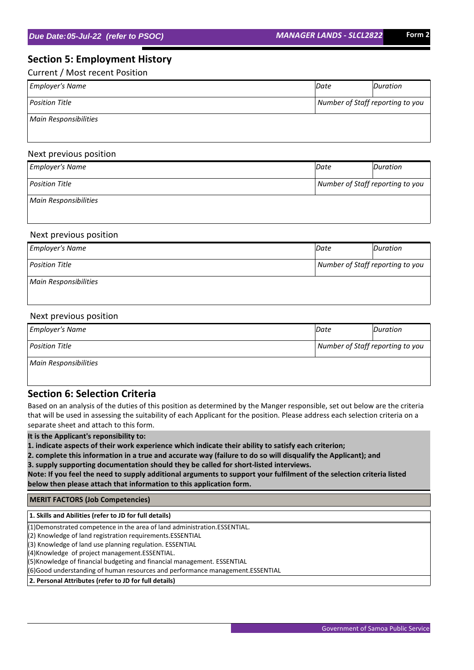## **Section 5: Employment History**

Current / Most recent Position

| <b>Employer's Name</b>       | Date                             | Duration |  |
|------------------------------|----------------------------------|----------|--|
| Position Title               | Number of Staff reporting to you |          |  |
| <b>Main Responsibilities</b> |                                  |          |  |

#### Next previous position

| <b>Employer's Name</b>       | Date                             | Duration |  |
|------------------------------|----------------------------------|----------|--|
| <b>Position Title</b>        | Number of Staff reporting to you |          |  |
| <b>Main Responsibilities</b> |                                  |          |  |

#### Next previous position

| <b>Employer's Name</b>       | Date                             | Duration |  |
|------------------------------|----------------------------------|----------|--|
| <b>Position Title</b>        | Number of Staff reporting to you |          |  |
| <b>Main Responsibilities</b> |                                  |          |  |

#### Next previous position

| <b>Employer's Name</b> | Date                             | Duration |  |
|------------------------|----------------------------------|----------|--|
| <b>Position Title</b>  | Number of Staff reporting to you |          |  |
| Main Responsibilities  |                                  |          |  |

#### **Section 6: Selection Criteria**

Based on an analysis of the duties of this position as determined by the Manger responsible, set out below are the criteria that will be used in assessing the suitability of each Applicant for the position. Please address each selection criteria on a separate sheet and attach to this form.

**It is the Applicant's reponsibility to:**

**1. indicate aspects of their work experience which indicate their ability to satisfy each criterion;**

**2. complete this information in a true and accurate way (failure to do so will disqualify the Applicant); and 3. supply supporting documentation should they be called for short-listed interviews.**

**Note: If you feel the need to supply additional arguments to support your fulfilment of the selection criteria listed below then please attach that information to this application form.**

 **MERIT FACTORS (Job Competencies)**

 **1. Skills and Abilities (refer to JD for full details)**

(1)Demonstrated competence in the area of land administration.ESSENTIAL.

(2) Knowledge of land registration requirements.ESSENTIAL

(3) Knowledge of land use planning regulation. ESSENTIAL

(4)Knowledge of project management.ESSENTIAL.

(5)Knowledge of financial budgeting and financial management. ESSENTIAL

(6)Good understanding of human resources and performance management.ESSENTIAL

 **2. Personal Attributes (refer to JD for full details)**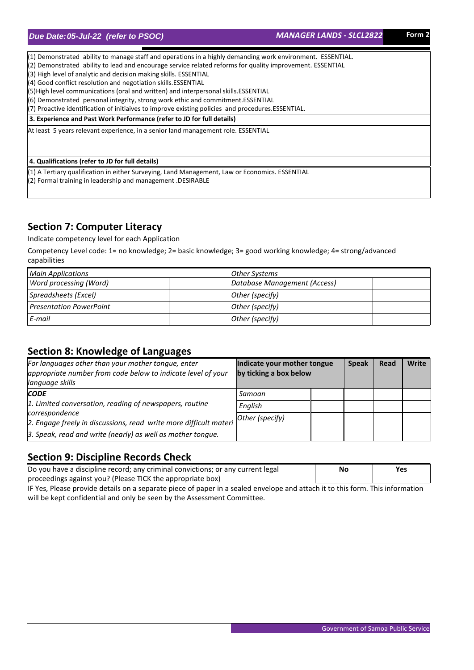(1) Demonstrated ability to manage staff and operations in a highly demanding work environment. ESSENTIAL.

(2) Demonstrated ability to lead and encourage service related reforms for quality improvement. ESSENTIAL

(3) High level of analytic and decision making skills. ESSENTIAL

(4) Good conflict resolution and negotiation skills.ESSENTIAL

(5)High level communications (oral and written) and interpersonal skills.ESSENTIAL

(6) Demonstrated personal integrity, strong work ethic and commitment.ESSENTIAL

(7) Proactive identification of initiaives to improve existing policies and procedures.ESSENTIAL.

#### **3. Experience and Past Work Performance (refer to JD for full details)**

At least 5 years relevant experience, in a senior land management role. ESSENTIAL

 **4. Qualifications (refer to JD for full details)**

(1) A Tertiary qualification in either Surveying, Land Management, Law or Economics. ESSENTIAL (2) Formal training in leadership and management .DESIRABLE

## **Section 7: Computer Literacy**

Indicate competency level for each Application

Competency Level code: 1= no knowledge; 2= basic knowledge; 3= good working knowledge; 4= strong/advanced capabilities

| <b>Main Applications</b>       | Other Systems                |
|--------------------------------|------------------------------|
| Word processing (Word)         | Database Management (Access) |
| Spreadsheets (Excel)           | Other (specify)              |
| <b>Presentation PowerPoint</b> | Other (specify)              |
| E-mail                         | Other (specify)              |

### **Section 8: Knowledge of Languages**

| For languages other than your mother tongue, enter<br>appropriate number from code below to indicate level of your<br>language skills | Indicate your mother tongue<br>by ticking a box below | <b>Speak</b> | Read | <b>Write</b> |
|---------------------------------------------------------------------------------------------------------------------------------------|-------------------------------------------------------|--------------|------|--------------|
| <b>CODE</b>                                                                                                                           | Samoan                                                |              |      |              |
| 1. Limited conversation, reading of newspapers, routine                                                                               | English                                               |              |      |              |
| correspondence<br>2. Engage freely in discussions, read write more difficult materi                                                   | Other (specify)                                       |              |      |              |
| 3. Speak, read and write (nearly) as well as mother tongue.                                                                           |                                                       |              |      |              |

### **Section 9: Discipline Records Check**

| Do you have a discipline record; any criminal convictions; or any current legal | No | Yes |
|---------------------------------------------------------------------------------|----|-----|
| proceedings against you? (Please TICK the appropriate box)                      |    |     |

IF Yes, Please provide details on a separate piece of paper in a sealed envelope and attach it to this form. This information will be kept confidential and only be seen by the Assessment Committee.